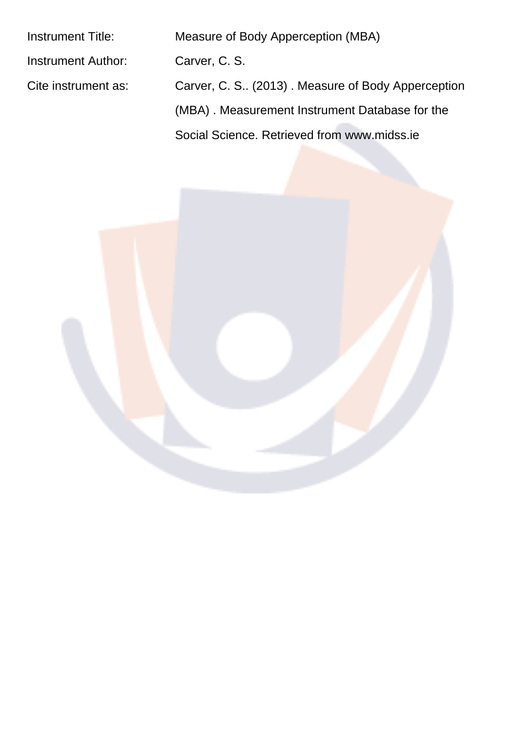| Instrument Title:         | Measure of Body Apperception (MBA)                  |
|---------------------------|-----------------------------------------------------|
| <b>Instrument Author:</b> | Carver, C. S.                                       |
| Cite instrument as:       | Carver, C. S., (2013). Measure of Body Apperception |
|                           | (MBA). Measurement Instrument Database for the      |
|                           | Social Science, Retrieved from www.midss.je         |
|                           |                                                     |